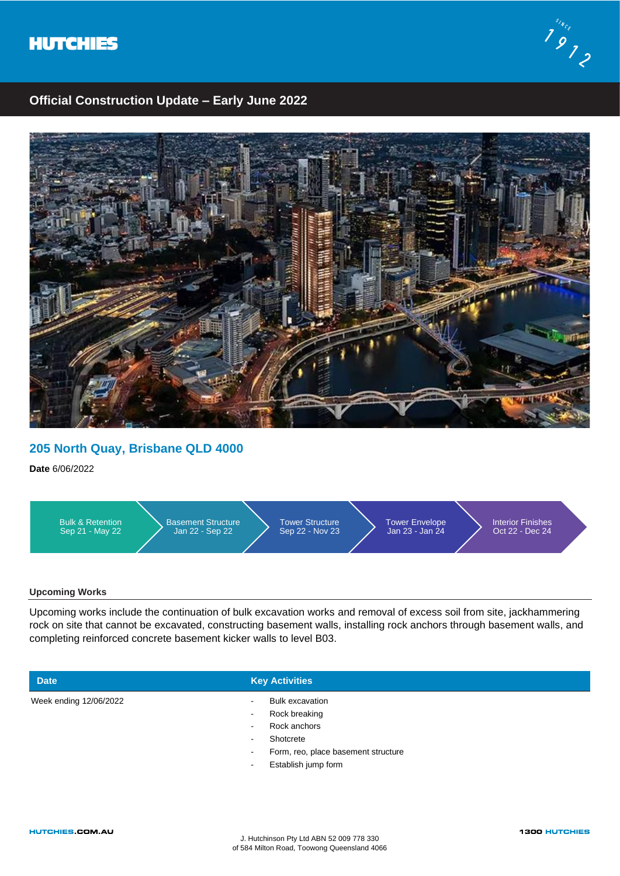



## **Official Construction Update – Early June 2022**



## **205 North Quay, Brisbane QLD 4000**

**Date** 6/06/2022



### **Upcoming Works**

Upcoming works include the continuation of bulk excavation works and removal of excess soil from site, jackhammering rock on site that cannot be excavated, constructing basement walls, installing rock anchors through basement walls, and completing reinforced concrete basement kicker walls to level B03.

**Date Key Activities** 

- Week ending 12/06/2022 **and Contact Excellent Excellent Contact Excellent Product** Bulk excavation
- - Rock breaking
	- Rock anchors
	- Shotcrete
	- Form, reo, place basement structure
	- Establish jump form